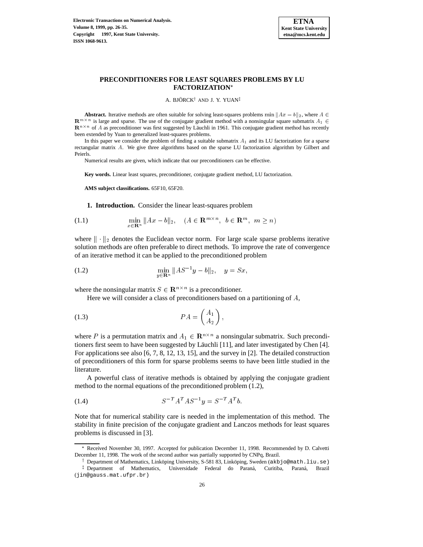

## **PRECONDITIONERS FOR LEAST SQUARES PROBLEMS BY LU FACTORIZATION**

A. BJÖRCK<sup>†</sup> AND J. Y. YUAN<sup>‡</sup>

**Abstract.** Iterative methods are often suitable for solving least-squares problems min  $||Ax - b||_2$ , where  $A \in$  $\mathbf{R}^{m \times n}$  is large and sparse. The use of the conjugate gradient method with a nonsingular square submatrix  $A_1 \in$  $\mathbf{R}^{n \times n}$  of A as preconditioner was first suggested by Läuchli in 1961. This conjugate gradient method has recently been extended by Yuan to generalized least-squares problems.

In this paper we consider the problem of finding a suitable submatrix  $A_1$  and its LU factorization for a sparse rectangular matrix A. We give three algorithms based on the sparse LU factorization algorithm by Gilbert and Peierls.

Numerical results are given, which indicate that our preconditioners can be effective.

**Key words.** Linear least squares, preconditioner, conjugate gradient method, LU factorization.

**AMS subject classifications.** 65F10, 65F20.

**1. Introduction.** Consider the linear least-squares problem

(1.1) 
$$
\min_{x \in \mathbf{R}^n} ||Ax - b||_2, \quad (A \in \mathbf{R}^{m \times n}, b \in \mathbf{R}^m, m \ge n)
$$

where  $\|\cdot\|_2$  denotes the Euclidean vector norm. For large scale sparse problems iterative solution methods are often preferable to direct methods. To improve the rate of convergence of an iterative method it can be applied to the preconditioned problem

(1.2) 
$$
\min_{y \in \mathbf{R}^n} \|AS^{-1}y - b\|_2, \quad y = Sx,
$$

where the nonsingular matrix  $S \in \mathbb{R}^{n \times n}$  is a preconditioner.

Here we will consider a class of preconditioners based on a partitioning of A,

$$
(1.3) \tPA = \begin{pmatrix} A_1 \\ A_2 \end{pmatrix},
$$

where P is a permutation matrix and  $A_1 \in \mathbb{R}^{n \times n}$  a nonsingular submatrix. Such preconditioners first seem to have been suggested by Läuchli [11], and later investigated by Chen [4]. For applications see also [6, 7, 8, 12, 13, 15], and the survey in [2]. The detailed construction of preconditioners of this form for sparse problems seems to have been little studied in the literature.

A powerful class of iterative methods is obtained by applying the conjugate gradient method to the normal equations of the preconditioned problem (1.2),

$$
(1.4) \tS^{-T}A^{T}AS^{-1}y = S^{-T}A^{T}b.
$$

Note that for numerical stability care is needed in the implementation of this method. The stability in finite precision of the conjugate gradient and Lanczos methods for least squares problems is discussed in [3].

Received November 30, 1997. Accepted for publication December 11, 1998. Recommended by D. Calvetti December 11, 1998. The work of the second author was partially supported by CNPq, Brazil.

<sup>&</sup>lt;sup>†</sup> Department of Mathematics, Linköping University, S-581 83, Linköping, Sweden (akbjo@math.liu.se) <sup>‡</sup> Department of Mathematics, Universidade Federal do Paraná, Curitiba, Paraná, Brazil (jin@gauss.mat.ufpr.br)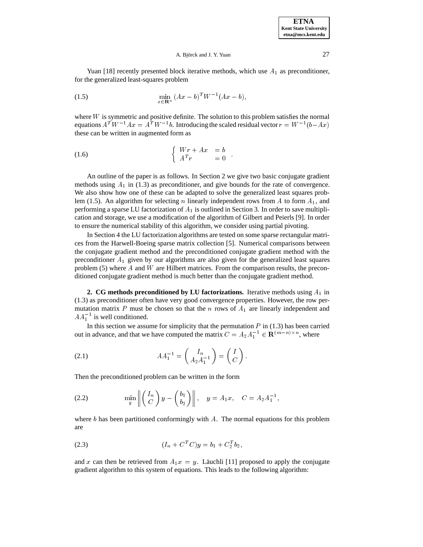Yuan [18] recently presented block iterative methods, which use  $A_1$  as preconditioner, for the generalized least-squares problem

(1.5) 
$$
\min_{x \in \mathbf{R}^n} (Ax - b)^T W^{-1} (Ax - b),
$$

where  $W$  is symmetric and positive definite. The solution to this problem satisfies the normal equations  $A^T W^{-1} A x = A^T W^{-1} b$ . Introducing the scaled residual vector  $r = W^{-1} (b - Ax)$ these can be written in augmented form as

$$
\begin{cases}\nWr + Ax & = b \\
A^T r & = 0\n\end{cases}
$$

An outline of the paper is as follows. In Section 2 we give two basic conjugate gradient methods using  $A_1$  in (1.3) as preconditioner, and give bounds for the rate of convergence. We also show how one of these can be adapted to solve the generalized least squares problem (1.5). An algorithm for selecting n linearly independent rows from  $A$  to form  $A_1$ , and performing a sparse LU factorization of  $A_1$  is outlined in Section 3. In order to save multiplication and storage, we use a modification of the algorithm of Gilbert and Peierls [9]. In order to ensure the numerical stability of this algorithm, we consider using partial pivoting.

In Section 4 the LU factorization algorithms are tested on some sparse rectangular matrices from the Harwell-Boeing sparse matrix collection [5]. Numerical comparisons between the conjugate gradient method and the preconditioned conjugate gradient method with the preconditioner  $A_1$  given by our algorithms are also given for the generalized least squares problem  $(5)$  where A and W are Hilbert matrices. From the comparison results, the preconditioned conjugate gradient method is much better than the conjugate gradient method.

**2. CG methods preconditioned by LU factorizations.** Iterative methods using  $A_1$  in (1.3) as preconditioner often have very good convergence properties. However, the row permutation matrix P must be chosen so that the n rows of  $A_1$  are linearly independent and  $AA_1^{-1}$  is well conditioned.

In this section we assume for simplicity that the permutation  $P$  in (1.3) has been carried out in advance, and that we have computed the matrix  $C = A_2 A_1^{-1} \in \mathbb{R}^{(m-n)\times n}$ , where

(2.1) 
$$
AA_1^{-1} = \begin{pmatrix} I_n \\ A_2 A_1^{-1} \end{pmatrix} = \begin{pmatrix} I \\ C \end{pmatrix}.
$$

Then the preconditioned problem can be written in the form

(2.2) 
$$
\min_{y} \left\| \begin{pmatrix} I_n \\ C \end{pmatrix} y - \begin{pmatrix} b_1 \\ b_2 \end{pmatrix} \right\|, \quad y = A_1 x, \quad C = A_2 A_1^{-1},
$$

where b has been partitioned conformingly with A. The normal equations for this problem are

$$
(2.3) \t\t\t (I_n + C^T C)y = b_1 + C_2^T b_2,
$$

and x can then be retrieved from  $A_1x = y$ . Läuchli [11] proposed to apply the conjugate gradient algorithm to this system of equations. This leads to the following algorithm: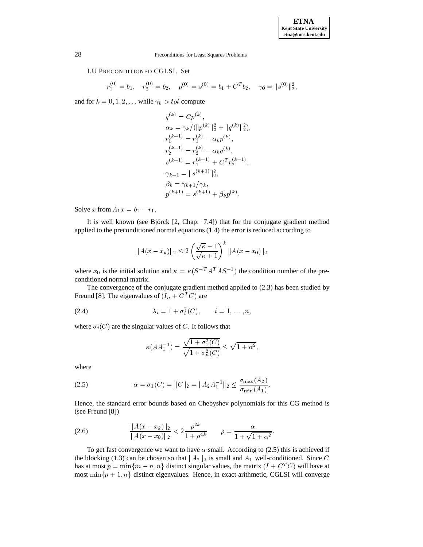## LU PRECONDITIONED CGLSI. Set

$$
r_1^{(0)} = b_1, \quad r_2^{(0)} = b_2, \quad p^{(0)} = s^{(0)} = b_1 + C^T b_2, \quad \gamma_0 = ||s^{(0)}||_2^2,
$$

and for  $k = 0, 1, 2, \dots$  while  $\gamma_k > tol$  compute

**College** 

$$
q^{(k)} = Cp^{(k)},
$$
  
\n
$$
\alpha_k = \gamma_k / (\|p^{(k)}\|_2^2 + \|q^{(k)}\|_2^2),
$$
  
\n
$$
r_1^{(k+1)} = r_1^{(k)} - \alpha_k p^{(k)},
$$
  
\n
$$
r_2^{(k+1)} = r_2^{(k)} - \alpha_k q^{(k)},
$$
  
\n
$$
s^{(k+1)} = r_1^{(k+1)} + C^T r_2^{(k+1)},
$$
  
\n
$$
\gamma_{k+1} = \|s^{(k+1)}\|_2^2,
$$
  
\n
$$
\beta_k = \gamma_{k+1} / \gamma_k,
$$
  
\n
$$
p^{(k+1)} = s^{(k+1)} + \beta_k p^{(k)}.
$$

Solve x from  $A_1x = b_1 - r_1$ .

It is well known (see Björck  $[2, Chap. 7.4]$ ) that for the conjugate gradient method applied to the preconditioned normal equations (1.4) the error is reduced according to

$$
||A(x - x_k)||_2 \le 2\left(\frac{\sqrt{\kappa} - 1}{\sqrt{\kappa} + 1}\right)^k ||A(x - x_0)||_2
$$

where  $x_0$  is the initial solution and  $\kappa = \kappa (S^{-T} A^{T} A S^{-1})$  the condition number of the preconditioned normal matrix.

The convergence of the conjugate gradient method applied to (2.3) has been studied by Freund [8]. The eigenvalues of  $(I_n + C^T C)$  are

(2.4) 
$$
\lambda_i = 1 + \sigma_i^2(C), \qquad i = 1, ..., n,
$$

where  $\sigma_i(C)$  are the singular values of C. It follows that

$$
\kappa(AA_1^{-1}) = \frac{\sqrt{1 + \sigma_1^2(C)}}{\sqrt{1 + \sigma_n^2(C)}} \le \sqrt{1 + \alpha^2},
$$

where

(2.5) 
$$
\alpha = \sigma_1(C) = ||C||_2 = ||A_2 A_1^{-1}||_2 \le \frac{\sigma_{\max}(A_2)}{\sigma_{\min}(A_1)}.
$$

Hence, the standard error bounds based on Chebyshev polynomials for this CG method is (see Freund [8])

(2.6) 
$$
\frac{\|A(x-x_k)\|_2}{\|A(x-x_0)\|_2} < 2\frac{\rho^{2k}}{1+\rho^{4k}} \qquad \rho = \frac{\alpha}{1+\sqrt{1+\alpha^2}}.
$$

To get fast convergence we want to have  $\alpha$  small. According to (2.5) this is achieved if the blocking (1.3) can be chosen so that  $||A_2||_2$  is small and  $A_1$  well-conditioned. Since C has at most  $p = \min\{m - n, n\}$  distinct singular values, the matrix  $(I + C<sup>T</sup>C)$  will have at most min $\{p+1, n\}$  distinct eigenvalues. Hence, in exact arithmetic, CGLSI will converge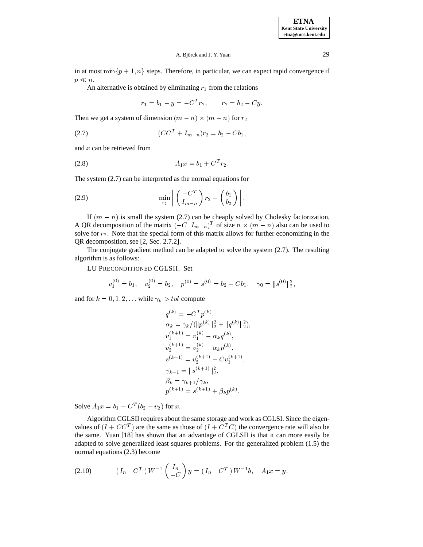in at most min $\{p+1, n\}$  steps. Therefore, in particular, we can expect rapid convergence if  $p \ll n$ .

An alternative is obtained by eliminating  $r_1$  from the relations

$$
r_1 = b_1 - y = -C^T r_2, \qquad r_2 = b_2 - Cy.
$$

Then we get a system of dimension  $(m - n) \times (m - n)$  for  $r_2$ 

$$
(CCT + Im-n)r2 = b2 - Cb1,
$$

and  $x$  can be retrieved from

$$
(2.8) \t\t\t A_1x = b_1 + C^T r_2.
$$

The system (2.7) can be interpreted as the normal equations for

(2.9) 
$$
\min_{r_2} \left\| \begin{pmatrix} -C^T \\ I_{m-n} \end{pmatrix} r_2 - \begin{pmatrix} b_1 \\ b_2 \end{pmatrix} \right\|.
$$

If  $(m - n)$  is small the system (2.7) can be cheaply solved by Cholesky factorization, A QR decomposition of the matrix  $(-C \ I_{m-n})^T$  of size  $n \times (m-n)$  also can be used to solve for  $r_2$ . Note that the special form of this matrix allows for further economizing in the QR decomposition, see [2, Sec. 2.7.2].

The conjugate gradient method can be adapted to solve the system (2.7). The resulting algorithm is as follows:

LU PRECONDITIONED CGLSII. Set

$$
v_1^{(0)}=b_1,\quad v_2^{(0)}=b_2,\quad p^{(0)}=s^{(0)}=b_2-Cb_1,\quad \gamma_0=\|s^{(0)}\|_2^2,
$$

and for  $k = 0, 1, 2, \ldots$  while  $\gamma_k > tol$  compute

$$
q^{(k)} = -C^{T}p^{(k)},
$$
  
\n
$$
\alpha_{k} = \gamma_{k}/(||p^{(k)}||_{2}^{2} + ||q^{(k)}||_{2}^{2}),
$$
  
\n
$$
v_{1}^{(k+1)} = v_{1}^{(k)} - \alpha_{k}q^{(k)},
$$
  
\n
$$
v_{2}^{(k+1)} = v_{2}^{(k)} - \alpha_{k}p^{(k)},
$$
  
\n
$$
s^{(k+1)} = v_{2}^{(k+1)} - Cv_{1}^{(k+1)},
$$
  
\n
$$
\gamma_{k+1} = ||s^{(k+1)}||_{2}^{2},
$$
  
\n
$$
\beta_{k} = \gamma_{k+1}/\gamma_{k},
$$
  
\n
$$
p^{(k+1)} = s^{(k+1)} + \beta_{k}p^{(k)}.
$$

Solve  $A_1 x = b_1 - C^T (b_2 - v_2)$  for x.

Algorithm CGLSII requires about the same storage and work as CGLSI. Since the eigenvalues of  $(I + CC^T)$  are the same as those of  $(I + C^T C)$  the convergence rate will also be the same. Yuan [18] has shown that an advantage of CGLSII is that it can more easily be adapted to solve generalized least squares problems. For the generalized problem (1.5) the normal equations (2.3) become

(2.10) 
$$
(I_n \t C^T) W^{-1} \begin{pmatrix} I_n \\ -C \end{pmatrix} y = (I_n \t C^T) W^{-1} b, \t A_1 x = y.
$$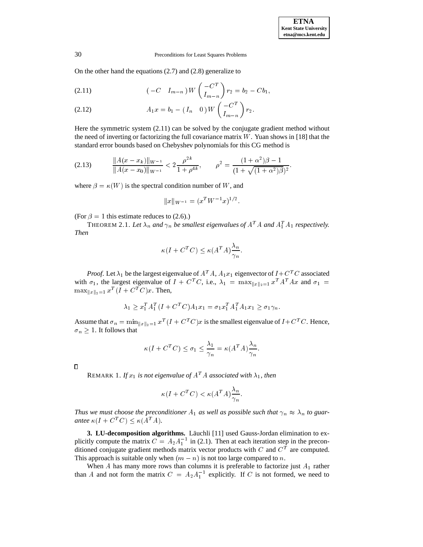On the other hand the equations (2.7) and (2.8) generalize to

(2.11) 
$$
(-C \tI_{m-n}) W\left(\frac{-C^T}{I_{m-n}}\right) r_2 = b_2 - C b_1,
$$

(2.12) 
$$
A_1 x = b_1 - (I_n \quad 0) W \begin{pmatrix} -C^T \\ I_{m-n} \end{pmatrix} r_2.
$$

Here the symmetric system (2.11) can be solved by the conjugate gradient method without the need of inverting or factorizing the full covariance matrix  $W$ . Yuan shows in [18] that the standard error bounds based on Chebyshev polynomials for this CG method is

$$
(2.13) \qquad \frac{\|A(x-x_k)\|_{W^{-1}}}{\|A(x-x_0)\|_{W^{-1}}} < 2\frac{\rho^{2k}}{1+\rho^{4k}}, \qquad \rho^2 = \frac{(1+\alpha^2)\beta - 1}{(1+\sqrt{(1+\alpha^2)\beta})^2}.
$$

where  $\beta = \kappa(W)$  is the spectral condition number of W, and

$$
||x||_{W^{-1}} = (x^T W^{-1} x)^{1/2}.
$$

(For  $\beta = 1$  this estimate reduces to (2.6).)

THEOREM 2.1. Let  $\lambda_n$  and  $\gamma_n$  be smallest eigenvalues of  $A<sup>T</sup> A$  and  $A<sup>T</sup><sub>1</sub> A<sub>1</sub>$  respectively. *Then*

$$
\kappa(I + C^T C) \le \kappa(A^T A) \frac{\lambda_n}{\gamma_n}.
$$

*Proof.* Let  $\lambda_1$  be the largest eigenvalue of  $A^T A$ ,  $A_1 x_1$  eigenvector of  $I + C^T C$  associated with  $\sigma_1$ , the largest eigenvalue of  $I + C^T C$ , i.e.,  $\lambda_1 = \max_{\|x\|_2=1} x^T A^T A x$  and  $\sigma_1 =$  $\max_{\|x\|_2=1} x^T (I + C^T C) x$ . Then,

$$
\lambda_1 \ge x_1^T A_1^T (I + C^T C) A_1 x_1 = \sigma_1 x_1^T A_1^T A_1 x_1 \ge \sigma_1 \gamma_n.
$$

Assume that  $\sigma_n = \min_{\|x\|_2=1} x^T (I + C^T C) x$  is the smallest eigenvalue of  $I + C^T C$ . Hence,  $\sigma_n \geq 1$ . It follows that

$$
\kappa(I + C^T C) \le \sigma_1 \le \frac{\lambda_1}{\gamma_n} = \kappa(A^T A) \frac{\lambda_n}{\gamma_n}.
$$

 $\Box$ 

REMARK 1. *If*  $x_1$  *is not eigenvalue of*  $A<sup>T</sup> A$  *associated with*  $\lambda_1$ *, then* 

$$
\kappa(I + C^T C) < \kappa(A^T A) \frac{\lambda_n}{\gamma_n}.
$$

*Thus we must choose the preconditioner*  $A_1$  *as well as possible such that*  $\gamma_n \approx \lambda_n$  *to guarantee*  $\kappa(I + C^TC) \leq \kappa(A^TA)$ *.* 

**3. LU-decomposition algorithms.** Läuchli [11] used Gauss-Jordan elimination to explicitly compute the matrix  $C = A_2 A_1^{-1}$  in (2.1). Then at each iteration step in the preconditioned conjugate gradient methods matrix vector products with C and  $C<sup>T</sup>$  are computed. This approach is suitable only when  $(m - n)$  is not too large compared to n.

When  $A$  has many more rows than columns it is preferable to factorize just  $A_1$  rather than A and not form the matrix  $C = A_2 A_1^{-1}$  explicitly. If C is not formed, we need to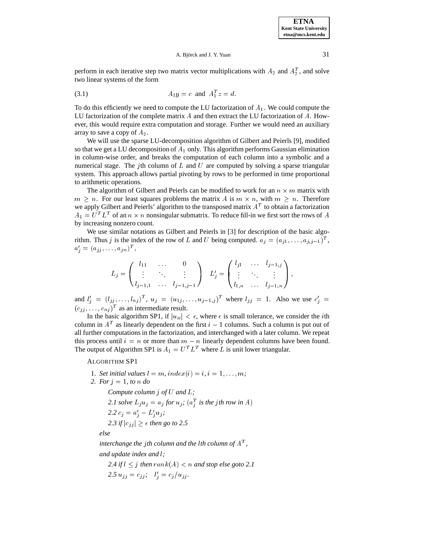perform in each iterative step two matrix vector multiplications with  $A_2$  and  $A_2^T$ , and solve two linear systems of the form

(3.1) 
$$
A_1 y = c
$$
 and  $A_1^T z = d$ .

To do this efficiently we need to compute the LU factorization of  $A_1$ . We could compute the LU factorization of the complete matrix A and then extract the LU factorization of A. However, this would require extra computation and storage. Further we would need an auxiliary array to save a copy of  $A_2$ .

We will use the sparse LU-decomposition algorithm of Gilbert and Peierls [9], modified so that we get a LU decomposition of  $A_1$  only. This algorithm performs Gaussian elimination in column-wise order, and breaks the computation of each column into a symbolic and a numerical stage. The jth column of L and U are computed by solving a sparse triangular system. This approach allows partial pivoting by rows to be performed in time proportional to arithmetic operations.

The algorithm of Gilbert and Peierls can be modified to work for an  $n \times m$  matrix with  $m \geq n$ . For our least squares problems the matrix A is  $m \times n$ , with  $m \geq n$ . Therefore we apply Gilbert and Peierls' algorithm to the transposed matrix  $A<sup>T</sup>$  to obtain a factorization  $A_1 = U^T L^T$  of an  $n \times n$  nonsingular submatrix. To reduce fill-in we first sort the rows of A by increasing nonzero count.

We use similar notations as Gilbert and Peierls in [3] for description of the basic algorithm. Thus j is the index of the row of L and U being computed.  $a_j = (a_{j1}, \ldots, a_{j,j-1})^T$ ,  $a_{j} = (a_{jj}, \ldots, a_{jn})^{\top}$ ,

$$
L_j = \begin{pmatrix} l_{11} & \cdots & 0 \\ \vdots & \ddots & \vdots \\ l_{j-1,1} & \cdots & l_{j-1,j-1} \end{pmatrix} \quad L'_j = \begin{pmatrix} l_{j1} & \cdots & l_{j-1,j} \\ \vdots & \ddots & \vdots \\ l_{1,n} & \cdots & l_{j-1,n} \end{pmatrix},
$$

and  $l'_{i} = (l_{i1},...,l_{nj})^{T}$ ,  $u_{j} = (u_{1j},...,u_{j-1,j})^{T}$  where  $l_{ij} = 1$ . Also we use  $c'_{i} =$  $(c_{ij}, \ldots, c_{nj})^T$  as an intermediate result.

In the basic algorithm SP1, if  $|u_{ii}| < \epsilon$ , where  $\epsilon$  is small tolerance, we consider the *i*th column in  $A<sup>T</sup>$  as linearly dependent on the first  $i - 1$  columns. Such a column is put out of all further computations in the factorization, and interchanged with a later column. We repeat this process until  $i = n$  or more than  $m - n$  linearly dependent columns have been found. The output of Algorithm SP1 is  $A_1 = U^T L^T$  where L is unit lower triangular.

ALGORITHM SP1

1. *Set initial values*  $l = m$ ,  $index(i) = i$ ,  $i = 1, \ldots, m$ ; *2. For* <sup>j</sup> = 1*, to* <sup>n</sup> *do Compute column* j *of* U *and* L*;* 2.1 solve  $L_j u_j = a_j$  for  $u_j$ ;  $(a_j^T$  is the jth row in A)  $2.2 c_j = a'_j - L'_j u_j;$  $2.3$  if  $|c_{jj}| \geq \epsilon$  then go to 2.5<br>else<br>interchange the jth column and the lth column of  $A^T$ , *else*

*and update index and* l*;*

 $2.4$  if  $l \leq j$  then  $rank(A) < n$  and stop else goto 2.1  $2.5 u_{jj} = c_{jj}; \quad l'_i = c_j / u_{jj}.$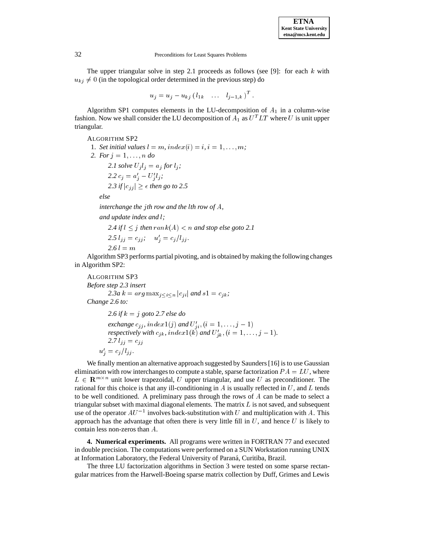The upper triangular solve in step 2.1 proceeds as follows (see [9]: for each  $k$  with  $u_{kj} \neq 0$  (in the topological order determined in the previous step) do

$$
u_j = u_j - u_{kj} (l_{1k} \quad \ldots \quad l_{j-1,k})^T.
$$

Algorithm SP1 computes elements in the LU-decomposition of  $A_1$  in a column-wise fashion. Now we shall consider the LU decomposition of  $A_1$  as  $U^T L T$  where U is unit upper triangular.

ALGORITHM SP2

1. *Set initial values*  $l = m$ ,  $index(i) = i$ ,  $i = 1, \ldots, m$ ; *2. For*  $j = 1, \ldots, n$  *do 2.1 solve*  $U_j l_j = a_j$  *for*  $l_j$ ;  $2.2 c_j = a'_j - U'_j l_j;$ 2.3 if  $|c_{ij}| \geq \epsilon$  then go to 2.5 *else interchange the* j*th row and the* l*th row of* A*, and update index and* l*;*

 $2.4$  if  $l \leq j$  then  $rank(A) < n$  and stop else goto 2.1  $2.5 l_{jj} = c_{jj}; \quad u'_j = c_j / l_{jj}.$  $2.6 l = m$ 

Algorithm SP3 performs partial pivoting, and is obtained by making the following changes in Algorithm SP2:

ALGORITHM SP3 *Before step 2.3 insert 2.3a*  $k = arg \max_{j \leq i \leq n} |c_{ji}|$  *and*  $s1 = c_{jk}$ ; *Change 2.6 to:*

*2.6 if* k <sup>=</sup> j *goto 2.7 else do exchange*  $c_{jj}$ *, index* $1(j)$  *and*  $U'_{ji}$ *,*  $(i = 1, \ldots, j - 1)$ *. respectively with*  $c_{jk}$ *, index* $1(k)$  *and*  $U'_{jk}$ *,*  $(i = 1, \ldots, j - 1)$ *.* 2.7 $l_{jj} = c_{jj}$  $u'_{j} = c_{j}/l_{jj}$ .

We finally mention an alternative approach suggested by Saunders [16] is to use Gaussian elimination with row interchanges to compute a stable, sparse factorization  $PA = LU$ , where  $L \in \mathbb{R}^{m \times n}$  unit lower trapezoidal, U upper triangular, and use U as preconditioner. The rational for this choice is that any ill-conditioning in A is usually reflected in  $U$ , and  $L$  tends to be well conditioned. A preliminary pass through the rows of  $A$  can be made to select a triangular subset with maximal diagonal elements. The matrix  $L$  is not saved, and subsequent use of the operator  $AU^{-1}$  involves back-substitution with U and multiplication with A. This approach has the advantage that often there is very little fill in  $U$ , and hence  $U$  is likely to contain less non-zeros than <sup>A</sup>.

**4. Numerical experiments.** All programs were written in FORTRAN 77 and executed in double precision. The computations were performed on a SUN Workstation running UNIX at Information Laboratory, the Federal University of Paraná, Curitiba, Brazil.

The three LU factorization algorithms in Section 3 were tested on some sparse rectangular matrices from the Harwell-Boeing sparse matrix collection by Duff, Grimes and Lewis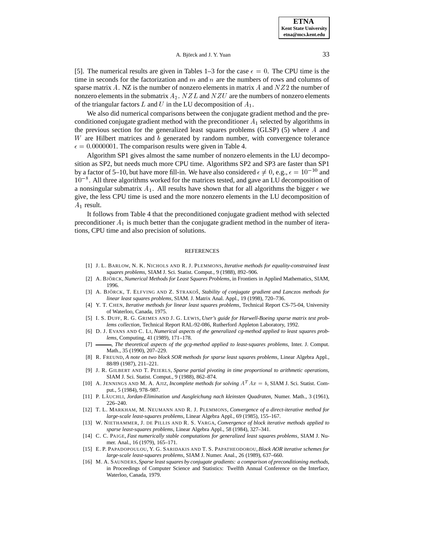[5]. The numerical results are given in Tables 1–3 for the case  $\epsilon = 0$ . The CPU time is the time in seconds for the factorization and  $m$  and  $n$  are the numbers of rows and columns of sparse matrix  $A$ . NZ is the number of nonzero elements in matrix  $A$  and  $NZ2$  the number of nonzero elements in the submatrix  $A_2$ . NZL and NZU are the numbers of nonzero elements of the triangular factors L and U in the LU decomposition of  $A_1$ .

We also did numerical comparisons between the conjugate gradient method and the preconditioned conjugate gradient method with the preconditioner  $A_1$  selected by algorithms in the previous section for the generalized least squares problems (GLSP)  $(5)$  where A and W are Hilbert matrices and  $b$  generated by random number, with convergence tolerance  $\epsilon = 0.0000001$ . The comparison results were given in Table 4.

Algorithm SP1 gives almost the same number of nonzero elements in the LU decomposition as SP2, but needs much more CPU time. Algorithms SP2 and SP3 are faster than SP1 by a factor of 5–10, but have more fill-in. We have also considered  $\epsilon \neq 0$ , e.g.,  $\epsilon = 10^{-10}$  and  $10^{-8}$ . All three algorithms worked for the matrices tested, and gave an LU decomposition of a nonsingular submatrix  $A_1$ . All results have shown that for all algorithms the bigger  $\epsilon$  we give, the less CPU time is used and the more nonzero elements in the LU decomposition of  $A_1$  result.

It follows from Table 4 that the preconditioned conjugate gradient method with selected preconditioner  $A_1$  is much better than the conjugate gradient method in the number of iterations, CPU time and also precision of solutions.

#### REFERENCES

- [1] J. L. BARLOW, N. K. NICHOLS AND R. J. PLEMMONS, *Iterative methods for equality-constrained least squares problems*, SIAM J. Sci. Statist. Comput., 9 (1988), 892–906.
- [2] A. BJÖRCK, *Numerical Methods for Least Squares Problems*, in Frontiers in Applied Mathematics, SIAM, 1996.
- [3] A. BJÖRCK, T. ELFVING AND Z. STRAKOŠ, *Stability of conjugate gradient and Lanczos methods for linear least squares problems*, SIAM. J. Matrix Anal. Appl., 19 (1998), 720–736.
- [4] Y. T. CHEN, *Iterative methods for linear least squares problems*, Technical Report CS-75-04, University of Waterloo, Canada, 1975.
- [5] I. S. DUFF, R. G. GRIMES AND J. G. LEWIS, *User's guide for Harwell-Boeing sparse matrix test problems collection*, Technical Report RAL-92-086, Rutherford Appleton Laboratory, 1992.
- [6] D. J. EVANS AND C. LI, *Numerical aspects of the generalized cg-method applied to least squares problems*, Computing, 41 (1989), 171–178.
- [7] , *The theoretical aspects of the gcg-method applied to least-squares problems*, Inter. J. Comput. Math., 35 (1990), 207–229.
- [8] R. FREUND, *A note on two block SOR methods for sparse least squares problems*, Linear Algebra Appl., 88/89 (1987), 211–221.
- [9] J. R. GILBERT AND T. PEIERLS, *Sparse partial pivoting in time proportional to arithmetic operations*, SIAM J. Sci. Statist. Comput., 9 (1988), 862–874.
- [10] A. JENNINGS AND M. A. AJIZ, *Incomplete methods for solving* A<sup>T</sup> Ax <sup>=</sup> b, SIAM J. Sci. Statist. Comput., 5 (1984), 978–987.
- [11] P. LÄUCHLI, Jordan-Elimination und Ausgleichung nach kleinsten Quadraten, Numer. Math., 3 (1961), 226–240.
- [12] T. L. MARKHAM, M. NEUMANN AND R. J. PLEMMONS, *Convergence of a direct-iterative method for large-scale least-squares problems*, Linear Algebra Appl., 69 (1985), 155–167.
- [13] W. NIETHAMMER, J. DE PILLIS AND R. S. VARGA, *Convergence of block iterative methods applied to sparse least-squares problems*, Linear Algebra Appl., 58 (1984), 327–341.
- [14] C. C. PAIGE, *Fast numerically stable computations for generalized least squares problems*, SIAM J. Numer. Anal., 16 (1979), 165–171.
- [15] E. P. PAPADOPOULOU, Y. G. SARIDAKIS AND T. S. PAPATHEODOROU,*Block AOR iterative schemes for large-scale least-squares problems*, SIAM J. Numer. Anal., 26 (1989), 637–660.
- [16] M. A. SAUNDERS, *Sparse least squares by conjugate gradients: a comparison of preconditioning methods*, in Proceedings of Computer Science and Statistics: Twelfth Annual Conference on the Interface, Waterloo, Canada, 1979.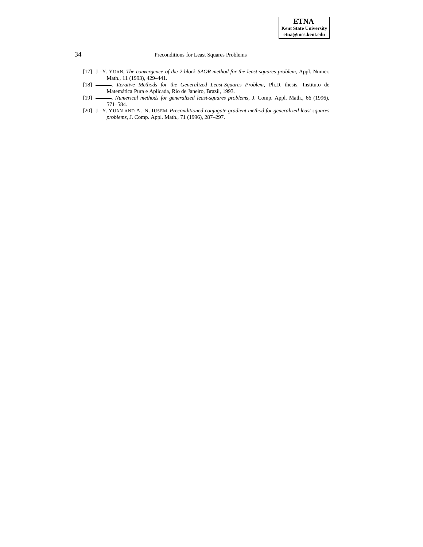- [17] J.-Y. YUAN, *The convergence of the 2-block SAOR method for the least-squares problem*, Appl. Numer. Math., 11 (1993), 429–441.
- [18] **........**, *Iterative Methods for the Generalized Least-Squares Problem*, Ph.D. thesis, Instituto de Matemática Pura e Aplicada, Rio de Janeiro, Brazil, 1993.
- [19] , *Numerical methods for generalized least-squares problems*, J. Comp. Appl. Math., 66 (1996), 571–584.
- [20] J.-Y. YUAN AND A.-N. IUSEM, *Preconditioned conjugate gradient method for generalized least squares problems*, J. Comp. Appl. Math., 71 (1996), 287–297.